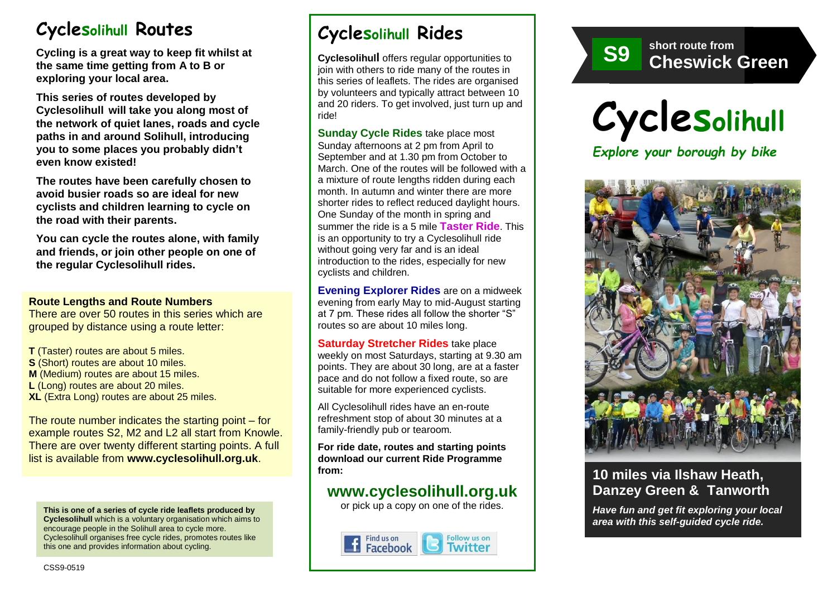# **Cyclesolihull Routes**

**Cycling is a great way to keep fit whilst at the same time getting from A to B or exploring your local area.** 

**This series of routes developed by Cyclesolihull will take you along most of the network of quiet lanes, roads and cycle paths in and around Solihull, introducing you to some places you probably didn't even know existed!**

**The routes have been carefully chosen to avoid busier roads so are ideal for new cyclists and children learning to cycle on the road with their parents.** 

**You can cycle the routes alone, with family and friends, or join other people on one of the regular Cyclesolihull rides.**

#### **Route Lengths and Route Numbers**

There are over 50 routes in this series which are grouped by distance using a route letter:

**T** (Taster) routes are about 5 miles. **S** (Short) routes are about 10 miles. **M** (Medium) routes are about 15 miles. **L** (Long) routes are about 20 miles. **XL** (Extra Long) routes are about 25 miles.

The route number indicates the starting point – for example routes S2, M2 and L2 all start from Knowle. There are over twenty different starting points. A full list is available from **www.cyclesolihull.org.uk**.

**This is one of a series of cycle ride leaflets produced by Cyclesolihull** which is a voluntary organisation which aims to encourage people in the Solihull area to cycle more. Cyclesolihull organises free cycle rides, promotes routes like this one and provides information about cycling.

# **Cyclesolihull Rides**

**Cyclesolihull** offers regular opportunities to join with others to ride many of the routes in this series of leaflets. The rides are organised by volunteers and typically attract between 10 and 20 riders. To get involved, just turn up and ride!

**Sunday Cycle Rides** take place most Sunday afternoons at 2 pm from April to September and at 1.30 pm from October to March. One of the routes will be followed with a a mixture of route lengths ridden during each month. In autumn and winter there are more shorter rides to reflect reduced daylight hours. One Sunday of the month in spring and summer the ride is a 5 mile **Taster Ride**. This is an opportunity to try a Cyclesolihull ride without going very far and is an ideal introduction to the rides, especially for new cyclists and children.

**Evening Explorer Rides** are on a midweek evening from early May to mid-August starting at 7 pm. These rides all follow the shorter "S" routes so are about 10 miles long.

**Saturday Stretcher Rides** take place weekly on most Saturdays, starting at 9.30 am points. They are about 30 long, are at a faster pace and do not follow a fixed route, so are suitable for more experienced cyclists.

All Cyclesolihull rides have an en-route refreshment stop of about 30 minutes at a family-friendly pub or tearoom.

**For ride date, routes and starting points download our current Ride Programme from:** 

## **www.cyclesolihull.org.uk**

or pick up a copy on one of the rides.









### **10 miles via Ilshaw Heath, Danzey Green & Tanworth**

*Have fun and get fit exploring your local area with this self-guided cycle ride.*